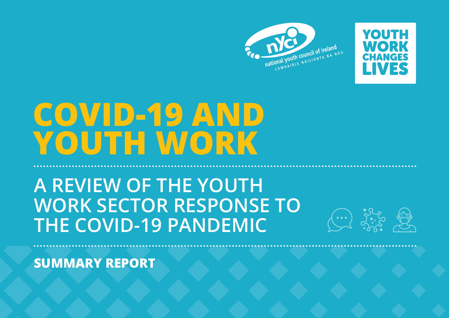



# **COVID-19 AND YOUTH WORK**

# **A REVIEW OF THE YOUTH WORK SECTOR RESPONSE TO THE COVID-19 PANDEMIC**



**SUMMARY REPORT**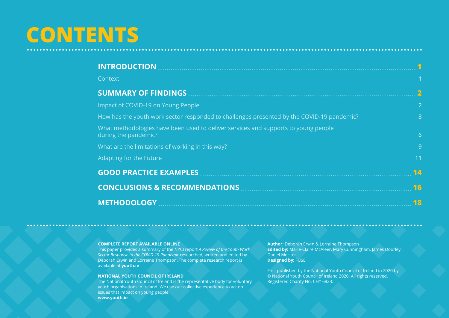# **CONTENTS**

| <b>INTRODUCTION</b>                                                                                        |                         |
|------------------------------------------------------------------------------------------------------------|-------------------------|
| Context                                                                                                    | 1                       |
|                                                                                                            | $\overline{\mathbf{2}}$ |
| Impact of COVID-19 on Young People                                                                         | $\overline{2}$          |
| How has the youth work sector responded to challenges presented by the COVID-19 pandemic?                  | 3                       |
| What methodologies have been used to deliver services and supports to young people<br>during the pandemic? | 6                       |
| What are the limitations of working in this way?                                                           | 9                       |
| Adapting for the Future                                                                                    | 11                      |
| <b>GOOD PRACTICE EXAMPLES </b>                                                                             | 14                      |
| <b>CONCLUSIONS &amp; RECOMMENDATIONS </b>                                                                  | 16                      |
| <b>METHODOLOGY</b>                                                                                         | 18                      |

#### **COMPLETE REPORT AVAILABLE ONLINE**

This paper provides a summary of the NYCI report *A Review of the Youth Work Sector Response to the COVID-19 Pandemic* researched, written and edited by Deborah Erwin and Lorraine Thompson. The complete research report is available at **[youth.ie](http://www.youth.ie)**

#### **NATIONAL YOUTH COUNCIL OF IRELAND**

The National Youth Council of Ireland is the representative body for voluntary youth organisations in Ireland. We use our collective experience to act on issues that impact on young people. **[www.youth.ie](http://www.youth.ie)**

**Author:** Deborah Erwin & Lorraine Thompson **Edited by:** Marie-Claire McAleer, Mary Cunningham, James Doorley, Daniel Meister **Designed by:** FUSE

*<u>AAAAAAAA</u>* 

First published by the National Youth Council of Ireland in 2020 by © National Youth Council of Ireland 2020. All rights reserved. Registered Charity No. CHY 6823.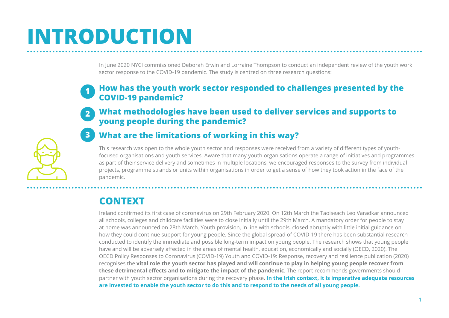# <span id="page-2-0"></span>**INTRODUCTION**

In June 2020 NYCI commissioned Deborah Erwin and Lorraine Thompson to conduct an independent review of the youth work sector response to the COVID-19 pandemic. The study is centred on three research questions:

#### **How has the youth work sector responded to challenges presented by the COVID-19 pandemic? 1**

#### **What methodologies have been used to deliver services and supports to young people during the pandemic? 2**

#### **What are the limitations of working in this way? 3**

This research was open to the whole youth sector and responses were received from a variety of different types of youthfocused organisations and youth services. Aware that many youth organisations operate a range of initiatives and programmes as part of their service delivery and sometimes in multiple locations, we encouraged responses to the survey from individual projects, programme strands or units within organisations in order to get a sense of how they took action in the face of the pandemic.

# **CONTEXT**

Ireland confirmed its first case of coronavirus on 29th February 2020. On 12th March the Taoiseach Leo Varadkar announced all schools, colleges and childcare facilities were to close initially until the 29th March. A mandatory order for people to stay at home was announced on 28th March. Youth provision, in line with schools, closed abruptly with little initial guidance on how they could continue support for young people. Since the global spread of COVID-19 there has been substantial research conducted to identify the immediate and possible long-term impact on young people. The research shows that young people have and will be adversely affected in the areas of mental health, education, economically and socially (OECD, 2020). The OECD Policy Responses to Coronavirus (COVID-19) Youth and COVID-19: Response, recovery and resilience publication (2020) recognises the **vital role the youth sector has played and will continue to play in helping young people recover from these detrimental effects and to mitigate the impact of the pandemic**. The report recommends governments should partner with youth sector organisations during the recovery phase. **In the Irish context, it is imperative adequate resources are invested to enable the youth sector to do this and to respond to the needs of all young people.**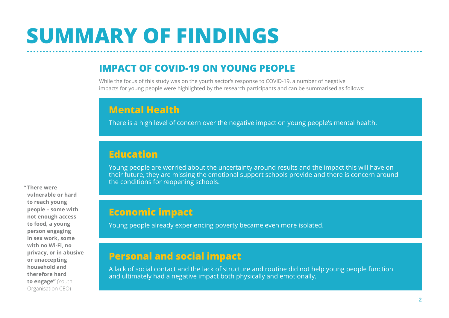# <span id="page-3-0"></span>**SUMMARY OF FINDINGS**

## **IMPACT OF COVID-19 ON YOUNG PEOPLE**

While the focus of this study was on the youth sector's response to COVID-19, a number of negative impacts for young people were highlighted by the research participants and can be summarised as follows:

## **Mental Health**

There is a high level of concern over the negative impact on young people's mental health.

## **Education**

Young people are worried about the uncertainty around results and the impact this will have on their future, they are missing the emotional support schools provide and there is concern around the conditions for reopening schools.

# **Economic impact**

Young people already experiencing poverty became even more isolated.

## **Personal and social impact**

A lack of social contact and the lack of structure and routine did not help young people function and ultimately had a negative impact both physically and emotionally.

**There were "vulnerable or hard to reach young people – some with not enough access to food, a young person engaging in sex work, some with no Wi-Fi, no privacy, or in abusive or unaccepting household and therefore hard to engage"** (Youth Organisation CEO)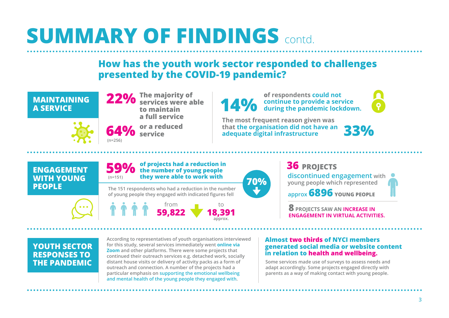## **How has the youth work sector responded to challenges presented by the COVID-19 pandemic?**

<span id="page-4-0"></span>



**(n=256)**

**The majority of services were able 22% to maintain a full service**

**or a reduced 64% service**

**The most frequent reason given was 14% continue to provide a service during the pandemic lockdown.** 

**that the organisation did not have an adequate digital infrastructure** 

**of respondents could not** 

**33%**

**ENGAGEMENT WITH YOUNG PEOPLE**

#### **of projects had a reduction in 59%** of projects had a reduction in<br>the number of young people **they were able to work with (n=151)**

**The 151 respondents who had a reduction in the number of young people they engaged with indicated figures fell** 



**70%**

**36 PROJECTS discontinued engagement with young people which represented**

**approx 6896 YOUNG PEOPLE**

**8 PROJECTS SAW AN INCREASE IN ENGAGEMENT IN VIRTUAL ACTIVITIES.** 

# **YOUTH SECTOR RESPONSES TO**

**THE PANDEMIC** distant house visits or delivery of activity packs as a form of Some services made use of surveys to assess needs and **and the service of the services** made use of surveys to assess needs and **According to representatives of youth organisations interviewed for this study, several services immediately went online via Zoom and other platforms. There were some projects that continued their outreach services e.g. detached work, socially outreach and connection. A number of the projects had a particular emphasis on supporting the emotional wellbeing and mental health of the young people they engaged with.**

#### **Almost two thirds of NYCI members generated social media or website content in relation to health and wellbeing.**

**adapt accordingly. Some projects engaged directly with parents as a way of making contact with young people.**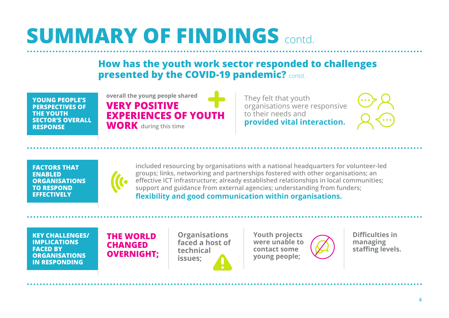## **How has the youth work sector responded to challenges presented by the COVID-19 pandemic?** contd.

**YOUNG PEOPLE'S PERSPECTIVES OF THE YOUTH SECTOR'S OVERALL RESPONSE**



They felt that youth organisations were responsive to their needs and **provided vital interaction.**

**FACTORS THAT ENABLED ORGANISATIONS TO RESPOND EFFECTIVELY** 



**included resourcing by organisations with a national headquarters for volunteer-led groups; links, networking and partnerships fostered with other organisations; an effective ICT infrastructure; already established relationships in local communities; support and guidance from external agencies; understanding from funders; flexibility and good communication within organisations.**

**KEY CHALLENGES/ IMPLICATIONS FACED BY ORGANISATIONS IN RESPONDING**

**THE WORLD CHANGED OVERNIGHT;**

**Organisations faced a host of technical issues;**

**Youth projects were unable to contact some young people;**



**Difficulties in managing staffing levels.**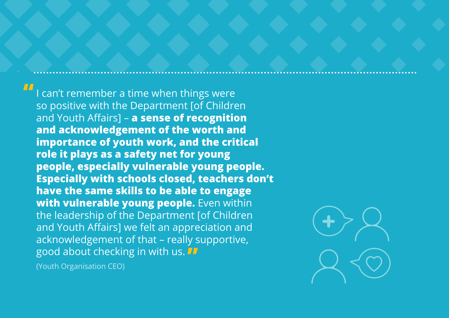I can't remember a time when things were so positive with the Department [of Children and Youth Affairs] – **a sense of recognition and acknowledgement of the worth and importance of youth work, and the critical role it plays as a safety net for young people, especially vulnerable young people. Especially with schools closed, teachers don't have the same skills to be able to engage with vulnerable young people.** Even within the leadership of the Department [of Children and Youth Affairs] we felt an appreciation and acknowledgement of that – really supportive, good about checking in with us. **""**

(Youth Organisation CEO)

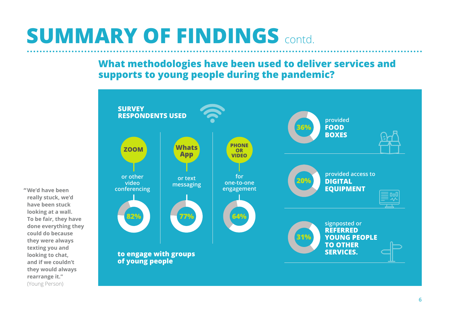## <span id="page-7-0"></span>**What methodologies have been used to deliver services and supports to young people during the pandemic?**



**We'd have been "really stuck, we'd have been stuck looking at a wall. To be fair, they have done everything they could do because they were always texting you and looking to chat, and if we couldn't they would always rearrange it."** (Young Person)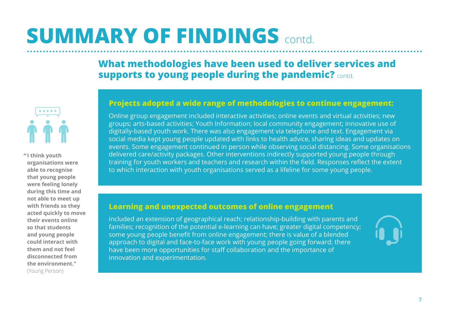## **What methodologies have been used to deliver services and supports to young people during the pandemic?** contd.



**I think youth " organisations were able to recognise that young people were feeling lonely during this time and not able to meet up with friends so they acted quickly to move their events online so that students and young people could interact with them and not feel disconnected from the environment."**  (Young Person)

#### **Projects adopted a wide range of methodologies to continue engagement:**

Online group engagement included interactive activities; online events and virtual activities; new groups; arts-based activities; Youth Information; local community engagement; innovative use of digitally-based youth work. There was also engagement via telephone and text. Engagement via social media kept young people updated with links to health advice, sharing ideas and updates on events. Some engagement continued in person while observing social distancing. Some organisations delivered care/activity packages. Other interventions indirectly supported young people through training for youth workers and teachers and research within the field. Responses reflect the extent to which interaction with youth organisations served as a lifeline for some young people.

#### **Learning and unexpected outcomes of online engagement**

included an extension of geographical reach; relationship-building with parents and families; recognition of the potential e-learning can have; greater digital competency; some young people benefit from online engagement; there is value of a blended approach to digital and face-to-face work with young people going forward; there have been more opportunities for staff collaboration and the importance of innovation and experimentation.

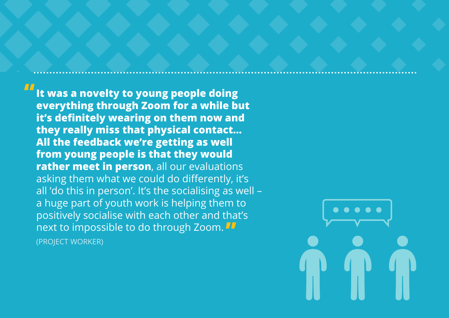**It was a novelty to young people doing everything through Zoom for a while but it's definitely wearing on them now and they really miss that physical contact… All the feedback we're getting as well from young people is that they would rather meet in person**, all our evaluations asking them what we could do differently, it's all 'do this in person'. It's the socialising as well – a huge part of youth work is helping them to positively socialise with each other and that's next to impossible to do through Zoom. **"**(PROJECT WORKER) **"**

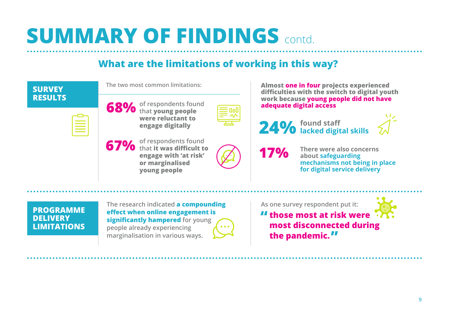## **What are the limitations of working in this way?**

<span id="page-10-0"></span>

| <b>SURVEY</b><br><b>RESULTS</b> |  |
|---------------------------------|--|
|                                 |  |

**The two most common limitations:**



**of respondents found 68%** of respondents four<br> **68%** that young people **were reluctant to engage digitally** 

| <b>Service Service</b> |  |
|------------------------|--|
|                        |  |
|                        |  |
|                        |  |
|                        |  |

**of respondents found 67%** of respondents found<br>**67%** that it was difficult to **engage with 'at risk' or marginalised young people**



**Almost one in four projects experienced difficulties with the switch to digital youth work because young people did not have adequate digital access**

**24% found staff lacked digital skills** 

**17%**

**There were also concerns about safeguarding mechanisms not being in place for digital service delivery** 

**PROGRAMME DELIVERY LIMITATIONS**

**The research indicated a compounding effect when online engagement is significantly hampered for young people already experiencing marginalisation in various ways.** 

**As one survey respondent put it:**

**those most at risk were "most disconnected during the pandemic. "**

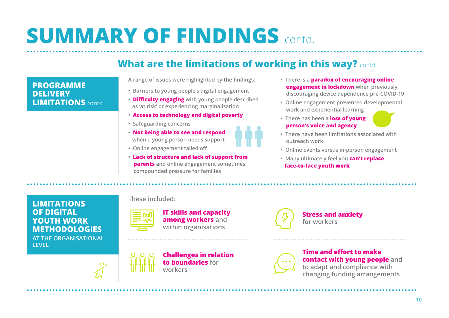# **What are the limitations of working in this way?** contd.

#### **PROGRAMME DELIVERY LIMITATIONS** contd

#### **A range of issues were highlighted by the findings:**

- **Barriers to young people's digital engagement**
- **Difficulty engaging with young people described as 'at risk' or experiencing marginalisation**
- **Access to technology and digital poverty**
- **Safeguarding concerns**
- **Not being able to see and respond when a young person needs support**
- **• Online engagement tailed off**
- **Lack of structure and lack of support from parents and online engagement sometimes compounded pressure for families**
- **There is a paradox of encouraging online engagement in lockdown when previously discouraging device dependence pre-COVID-19**
- **Online engagement prevented developmental work and experiential learning**
- **There has been a loss of young person's voice and agency**



- **There have been limitations associated with outreach work**
- **Online events versus in-person engagement**
- **Many ultimately feel you can't replace face-to-face youth work**

**LIMITATIONS OF DIGITAL YOUTH WORK METHODOLOGIES AT THE ORGANISATIONAL LEVEL** 

#### **These included:**



**IT skills and capacity among workers and within organisations**



**Challenges in relation to boundaries for workers**



#### **Stress and anxiety for workers**



#### **Time and effort to make contact with young people and to adapt and compliance with changing funding arrangements**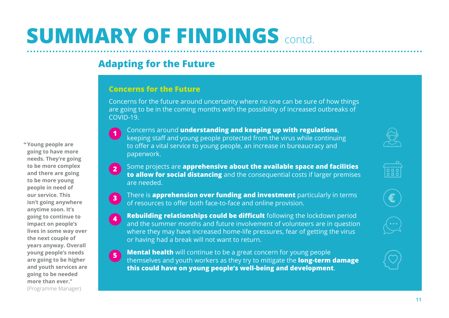## <span id="page-12-0"></span>**Adapting for the Future**

#### **Concerns for the Future**

**1**

**3**

Concerns for the future around uncertainty where no one can be sure of how things are going to be in the coming months with the possibility of increased outbreaks of COVID-19.

**Young people are " going to have more needs. They're going to be more complex and there are going to be more young people in need of our service. This isn't going anywhere anytime soon. It's going to continue to impact on people's lives in some way over the next couple of years anyway. Overall young people's needs are going to be higher and youth services are going to be needed more than ever."**

(Programme Manager)

- Concerns around **understanding and keeping up with regulations**, keeping staff and young people protected from the virus while continuing to offer a vital service to young people, an increase in bureaucracy and paperwork.
- Some projects are **apprehensive about the available space and facilities to allow for social distancing** and the consequential costs if larger premises are needed. **2**
	- There is **apprehension over funding and investment** particularly in terms of resources to offer both face-to-face and online provision.
- **Rebuilding relationships could be difficult** following the lockdown period and the summer months and future involvement of volunteers are in question where they may have increased home-life pressures, fear of getting the virus or having had a break will not want to return. **4**
- **Mental health** will continue to be a great concern for young people themselves and youth workers as they try to mitigate the **long-term damage this could have on young people's well-being and development**. **5**







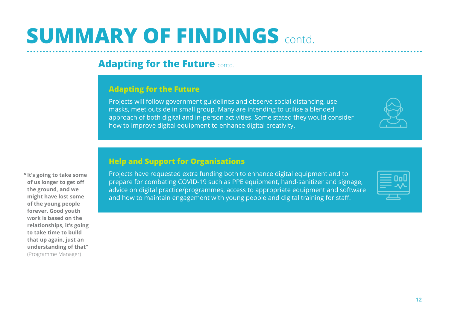## **Adapting for the Future** contd.

#### **Adapting for the Future**

Projects will follow government guidelines and observe social distancing, use masks, meet outside in small group. Many are intending to utilise a blended approach of both digital and in-person activities. Some stated they would consider how to improve digital equipment to enhance digital creativity.

Projects have requested extra funding both to enhance digital equipment and to prepare for combating COVID-19 such as PPE equipment, hand-sanitizer and signage, advice on digital practice/programmes, access to appropriate equipment and software and how to maintain engagement with young people and digital training for staff.

**It's going to take some " of us longer to get off the ground, and we might have lost some of the young people forever. Good youth work is based on the relationships, it's going to take time to build that up again, just an understanding of that"** (Programme Manager)

### **Help and Support for Organisations**

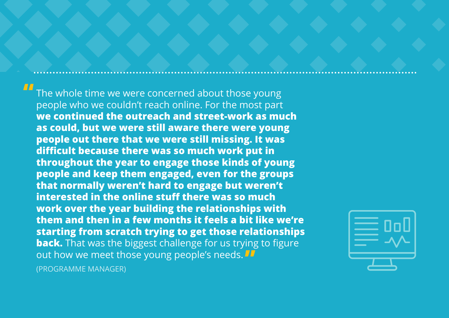The whole time we were concerned about those young people who we couldn't reach online. For the most part **we continued the outreach and street-work as much as could, but we were still aware there were young people out there that we were still missing. It was difficult because there was so much work put in throughout the year to engage those kinds of young people and keep them engaged, even for the groups that normally weren't hard to engage but weren't interested in the online stuff there was so much work over the year building the relationships with them and then in a few months it feels a bit like we're starting from scratch trying to get those relationships back.** That was the biggest challenge for us trying to figure out how we meet those young people's needs. **"**(PROGRAMME MANAGER)

**ПП** 

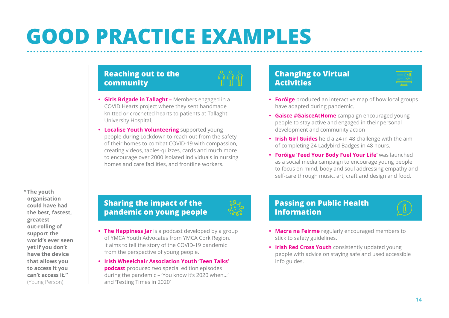# <span id="page-15-0"></span>**GOOD PRACTICE EXAMPLES**

### **Reaching out to the community**

- **• Girls Brigade in Tallaght –** Members engaged in a COVID Hearts project where they sent handmade knitted or crocheted hearts to patients at Tallaght University Hospital.
- **• Localise Youth Volunteering** supported young people during Lockdown to reach out from the safety of their homes to combat COVID-19 with compassion, creating videos, tables-quizzes, cards and much more to encourage over 2000 isolated individuals in nursing homes and care facilities, and frontline workers.

### **Changing to Virtual Activities**

- **• Foróige** produced an interactive map of how local groups have adapted during pandemic.
- **• Gaisce #GaisceAtHome** campaign encouraged young people to stay active and engaged in their personal development and community action
- **• Irish Girl Guides** held a 24 in 48 challenge with the aim of completing 24 Ladybird Badges in 48 hours.
- **• Foróige 'Feed Your Body Fuel Your Life'** was launched as a social media campaign to encourage young people to focus on mind, body and soul addressing empathy and self-care through music, art, craft and design and food.

**The youth "organisation could have had the best, fastest, greatest out-rolling of support the world's ever seen yet if you don't have the device that allows you to access it you can't access it."**  (Young Person)

### **Sharing the impact of the pandemic on young people**

- 
- **• The Happiness Jar** is a podcast developed by a group of YMCA Youth Advocates from YMCA Cork Region. It aims to tell the story of the COVID-19 pandemic from the perspective of young people.
- **• Irish Wheelchair Association Youth 'Teen Talks' podcast** produced two special edition episodes during the pandemic – 'You know it's 2020 when…' and 'Testing Times in 2020'

### **Passing on Public Health Information**



- **• Macra na Feirme** regularly encouraged members to stick to safety guidelines.
- **• Irish Red Cross Youth** consistently updated young people with advice on staying safe and used accessible info guides.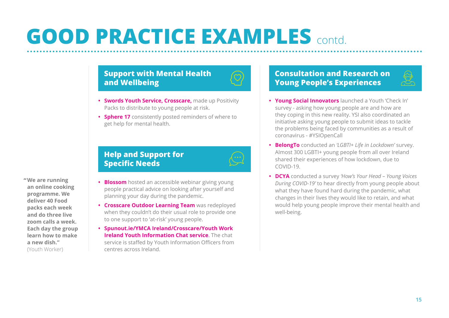# **GOOD PRACTICE EXAMPLES** contd.

### **Support with Mental Health and Wellbeing**

- **• Swords Youth Service, Crosscare,** made up Positivity Packs to distribute to young people at risk.
- **• Sphere 17** consistently posted reminders of where to get help for mental health.

### **Help and Support for Specific Needs**

**We are running "an online cooking programme. We deliver 40 Food packs each week and do three live zoom calls a week. Each day the group learn how to make a new dish."**  (Youth Worker)

#### **• Blossom** hosted an accessible webinar giving young people practical advice on looking after yourself and planning your day during the pandemic.

- **• Crosscare Outdoor Learning Team** was redeployed when they couldn't do their usual role to provide one to one support to 'at-risk' young people.
- **• Spunout.ie/YMCA Ireland/Crosscare/Youth Work Ireland Youth Information Chat service**. The chat service is staffed by Youth Information Officers from centres across Ireland.

### **Consultation and Research on Young People's Experiences**

- **• Young Social Innovators** launched a Youth 'Check In' survey - asking how young people are and how are they coping in this new reality. YSI also coordinated an initiative asking young people to submit ideas to tackle the problems being faced by communities as a result of coronavirus - #YSIOpenCall
- **• BelongTo** conducted an *'LGBTI+ Life in Lockdown'* survey. Almost 300 LGBTI+ young people from all over Ireland shared their experiences of how lockdown, due to COVID-19.
- **• DCYA** conducted a survey *'How's Your Head Young Voices During COVID-19'* to hear directly from young people about what they have found hard during the pandemic, what changes in their lives they would like to retain, and what would help young people improve their mental health and well-being.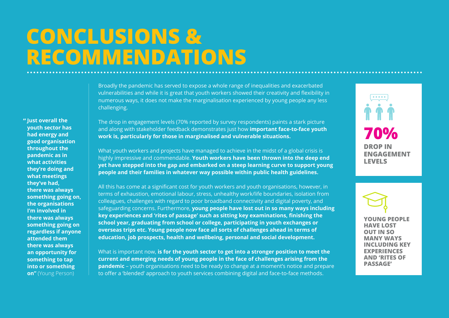# <span id="page-17-0"></span>**CONCLUSIONS & RECOMMENDATIONS**

**Just overall the "youth sector has had energy and good organisation throughout the pandemic as in what activities they're doing and what meetings they've had, there was always something going on, the organisations I'm involved in there was always something going on regardless if anyone attended them there was always an opportunity for something to tap into or something on"** (Young Person)

Broadly the pandemic has served to expose a whole range of inequalities and exacerbated vulnerabilities and while it is great that youth workers showed their creativity and flexibility in numerous ways, it does not make the marginalisation experienced by young people any less challenging.

The drop in engagement levels (70% reported by survey respondents) paints a stark picture and along with stakeholder feedback demonstrates just how **important face-to-face youth work is, particularly for those in marginalised and vulnerable situations.**

What youth workers and projects have managed to achieve in the midst of a global crisis is highly impressive and commendable. **Youth workers have been thrown into the deep end yet have stepped into the gap and embarked on a steep learning curve to support young people and their families in whatever way possible within public health guidelines.**

All this has come at a significant cost for youth workers and youth organisations, however, in terms of exhaustion, emotional labour, stress, unhealthy work/life boundaries, isolation from colleagues, challenges with regard to poor broadband connectivity and digital poverty, and safeguarding concerns. Furthermore, **young people have lost out in so many ways including key experiences and 'rites of passage' such as sitting key examinations, finishing the school year, graduating from school or college, participating in youth exchanges or overseas trips etc. Young people now face all sorts of challenges ahead in terms of education, job prospects, health and wellbeing, personal and social development.**

What is important now, **is for the youth sector to get into a stronger position to meet the current and emerging needs of young people in the face of challenges arising from the pandemic** – youth organisations need to be ready to change at a moment's notice and prepare to offer a 'blended' approach to youth services combining digital and face-to-face methods.

**70% DROP IN ENGAGEMENT LEVELS**

**YOUNG PEOPLE HAVE LOST OUT IN SO MANY WAYS INCLUDING KEY EXPERIENCES AND 'RITES OF PASSAGE'**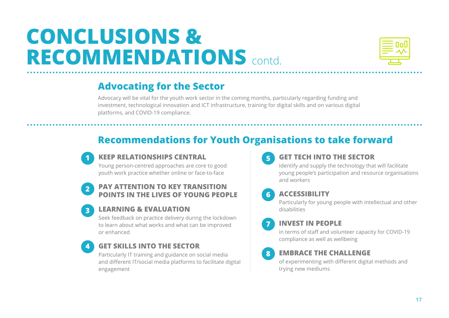# **CONCLUSIONS & RECOMMENDATIONS** contd.



## **Advocating for the Sector**

Advocacy will be vital for the youth work sector in the coming months, particularly regarding funding and investment, technological innovation and ICT infrastructure, training for digital skills and on various digital platforms, and COVID-19 compliance.

# **Recommendations for Youth Organisations to take forward**



**3**

**4**

### **KEEP RELATIONSHIPS CENTRAL**

Young person-centred approaches are core to good youth work practice whether online or face-to-face

#### **2 PAY ATTENTION TO KEY TRANSITION POINTS IN THE LIVES OF YOUNG PEOPLE**

### **LEARNING & EVALUATION**

Seek feedback on practice delivery during the lockdown to learn about what works and what can be improved or enhanced

### **GET SKILLS INTO THE SECTOR**

Particularly IT training and guidance on social media and different IT/social media platforms to facilitate digital engagement

## **5**

**6**

**7**

#### **GET TECH INTO THE SECTOR**

Identify and supply the technology that will facilitate young people's participation and resource organisations and workers

### **ACCESSIBILITY**

Particularly for young people with intellectual and other disabilities

### **INVEST IN PEOPLE**

in terms of staff and volunteer capacity for COVID-19 compliance as well as wellbeing

### **8**

#### **EMBRACE THE CHALLENGE**

of experimenting with different digital methods and trying new mediums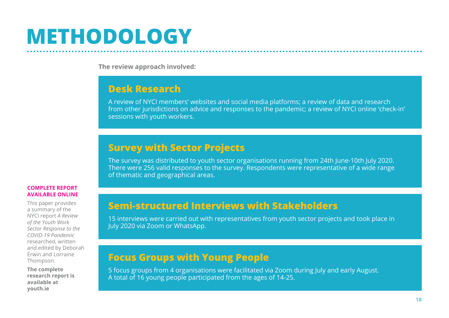# <span id="page-19-0"></span>**METHODOLOGY**

**The review approach involved:**

### **Desk Research**

A review of NYCI members' websites and social media platforms; a review of data and research from other jurisdictions on advice and responses to the pandemic; a review of NYCI online 'check-in' sessions with youth workers.

## **Survey with Sector Projects**

The survey was distributed to youth sector organisations running from 24th June-10th July 2020. There were 256 valid responses to the survey. Respondents were representative of a wide range of thematic and geographical areas.

#### **COMPLETE REPORT AVAILABLE ONLINE**

This paper provides a summary of the NYCI report *A Review of the Youth Work Sector Response to the COVID-19 Pandemic* researched, written and edited by Deborah Erwin and Lorraine Thompson.

**The complete research report is available at [youth.ie](http://www.youth.ie)**

## **Semi-structured Interviews with Stakeholders**

15 interviews were carried out with representatives from youth sector projects and took place in July 2020 via Zoom or WhatsApp.

## **Focus Groups with Young People**

5 focus groups from 4 organisations were facilitated via Zoom during July and early August. A total of 16 young people participated from the ages of 14-25.